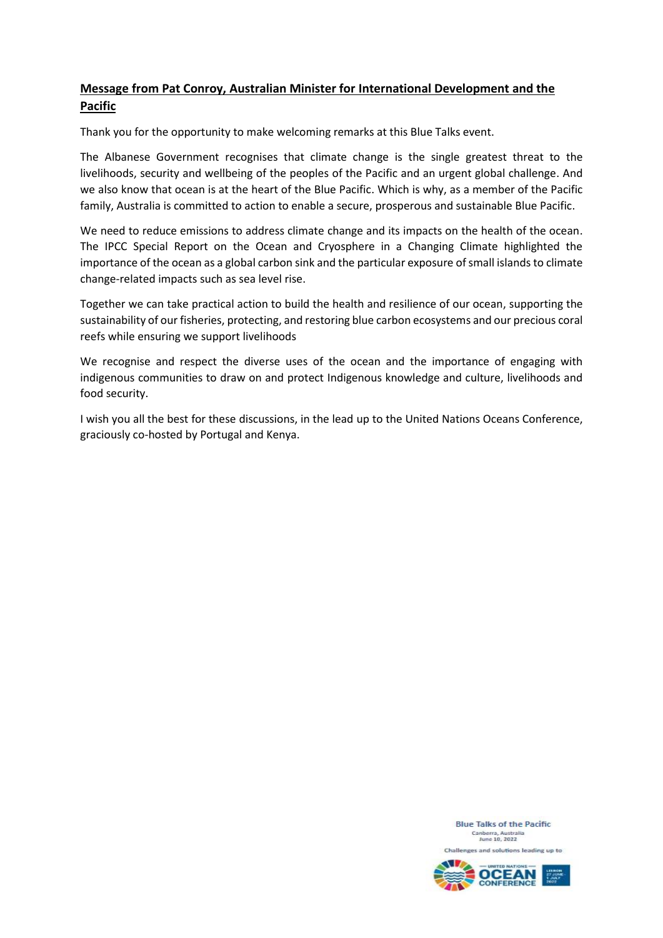## **Message from Pat Conroy, Australian Minister for International Development and the Pacific**

Thank you for the opportunity to make welcoming remarks at this Blue Talks event.

The Albanese Government recognises that climate change is the single greatest threat to the livelihoods, security and wellbeing of the peoples of the Pacific and an urgent global challenge. And we also know that ocean is at the heart of the Blue Pacific. Which is why, as a member of the Pacific family, Australia is committed to action to enable a secure, prosperous and sustainable Blue Pacific.

We need to reduce emissions to address climate change and its impacts on the health of the ocean. The IPCC Special Report on the Ocean and Cryosphere in a Changing Climate highlighted the importance of the ocean as a global carbon sink and the particular exposure of small islands to climate change-related impacts such as sea level rise.

Together we can take practical action to build the health and resilience of our ocean, supporting the sustainability of our fisheries, protecting, and restoring blue carbon ecosystems and our precious coral reefs while ensuring we support livelihoods

We recognise and respect the diverse uses of the ocean and the importance of engaging with indigenous communities to draw on and protect Indigenous knowledge and culture, livelihoods and food security.

I wish you all the best for these discussions, in the lead up to the United Nations Oceans Conference, graciously co-hosted by Portugal and Kenya.

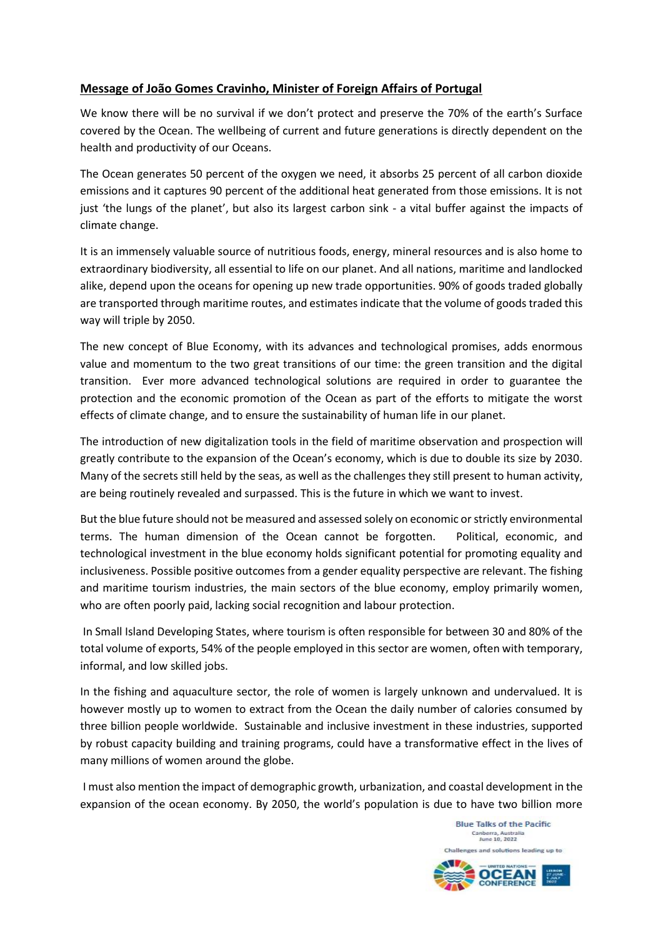## **Message of João Gomes Cravinho, Minister of Foreign Affairs of Portugal**

We know there will be no survival if we don't protect and preserve the 70% of the earth's Surface covered by the Ocean. The wellbeing of current and future generations is directly dependent on the health and productivity of our Oceans.

The Ocean generates 50 percent of the oxygen we need, it absorbs 25 percent of all carbon dioxide emissions and it captures 90 percent of the additional heat generated from those emissions. It is not just 'the lungs of the planet', but also its largest carbon sink - a vital buffer against the impacts of climate change.

It is an immensely valuable source of nutritious foods, energy, mineral resources and is also home to extraordinary biodiversity, all essential to life on our planet. And all nations, maritime and landlocked alike, depend upon the oceans for opening up new trade opportunities. 90% of goods traded globally are transported through maritime routes, and estimates indicate that the volume of goods traded this way will triple by 2050.

The new concept of Blue Economy, with its advances and technological promises, adds enormous value and momentum to the two great transitions of our time: the green transition and the digital transition. Ever more advanced technological solutions are required in order to guarantee the protection and the economic promotion of the Ocean as part of the efforts to mitigate the worst effects of climate change, and to ensure the sustainability of human life in our planet.

The introduction of new digitalization tools in the field of maritime observation and prospection will greatly contribute to the expansion of the Ocean's economy, which is due to double its size by 2030. Many of the secrets still held by the seas, as well as the challenges they still present to human activity, are being routinely revealed and surpassed. This is the future in which we want to invest.

But the blue future should not be measured and assessed solely on economic or strictly environmental terms. The human dimension of the Ocean cannot be forgotten. Political, economic, and technological investment in the blue economy holds significant potential for promoting equality and inclusiveness. Possible positive outcomes from a gender equality perspective are relevant. The fishing and maritime tourism industries, the main sectors of the blue economy, employ primarily women, who are often poorly paid, lacking social recognition and labour protection.

In Small Island Developing States, where tourism is often responsible for between 30 and 80% of the total volume of exports, 54% of the people employed in this sector are women, often with temporary, informal, and low skilled jobs.

In the fishing and aquaculture sector, the role of women is largely unknown and undervalued. It is however mostly up to women to extract from the Ocean the daily number of calories consumed by three billion people worldwide. Sustainable and inclusive investment in these industries, supported by robust capacity building and training programs, could have a transformative effect in the lives of many millions of women around the globe.

I must also mention the impact of demographic growth, urbanization, and coastal development in the expansion of the ocean economy. By 2050, the world's population is due to have two billion more



**Blue Talks of the Pacific**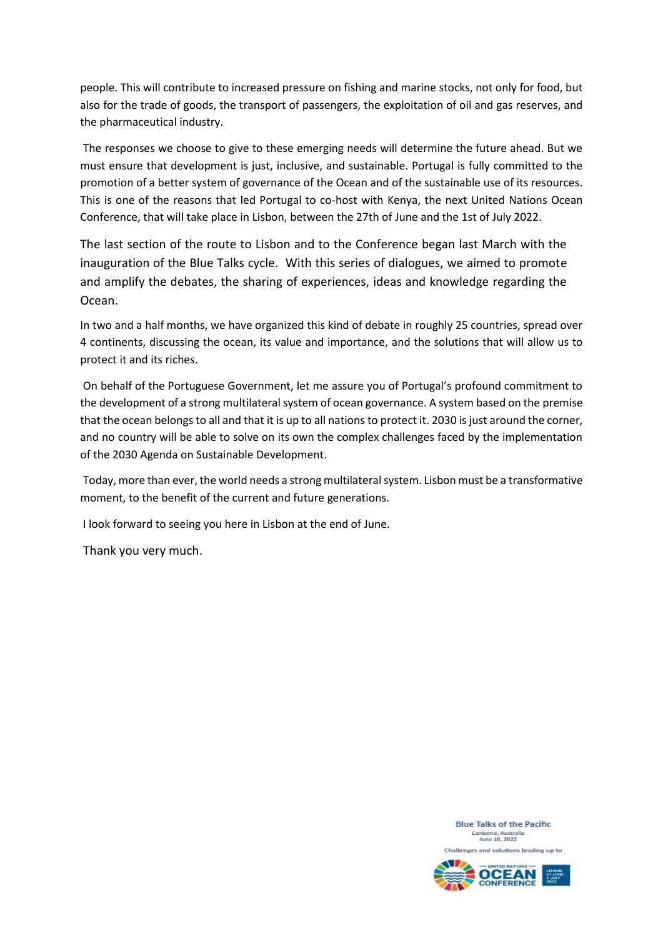people. This will contribute to increased pressure on fishing and marine stocks, not only for food, but also for the trade of goods, the transport of passengers, the exploitation of oil and gas reserves, and the pharmaceutical industry.

The responses we choose to give to these emerging needs will determine the future ahead. But we must ensure that development is just, inclusive, and sustainable. Portugal is fully committed to the promotion of a better system of governance of the Ocean and of the sustainable use of its resources. This is one of the reasons that led Portugal to co-host with Kenya, the next United Nations Ocean Conference, that will take place in Lisbon, between the 27th of June and the 1st of July 2022.

The last section of the route to Lisbon and to the Conference began last March with the inauguration of the Blue Talks cycle. With this series of dialogues, we aimed to promote and amplify the debates, the sharing of experiences, ideas and knowledge regarding the Ocean.

In two and a half months, we have organized this kind of debate in roughly 25 countries, spread over 4 continents, discussing the ocean, its value and importance, and the solutions that will allow us to protect it and its riches.

On behalf of the Portuguese Government, let me assure you of Portugal's profound commitment to the development of a strong multilateral system of ocean governance. A system based on the premise that the ocean belongs to all and that it is up to all nations to protect it. 2030 is just around the corner, and no country will be able to solve on its own the complex challenges faced by the implementation of the 2030 Agenda on Sustainable Development.

Today, more than ever, the world needs a strong multilateral system. Lisbon must be a transformative moment, to the benefit of the current and future generations.

I look forward to seeing you here in Lisbon at the end of June.

Thank you very much.

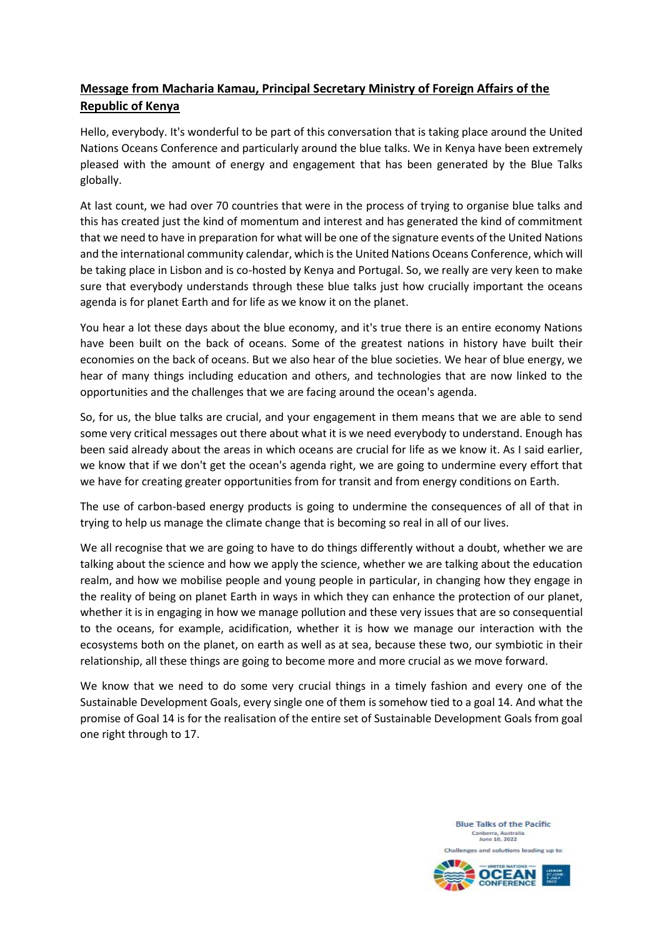## **Message from Macharia Kamau, Principal Secretary Ministry of Foreign Affairs of the Republic of Kenya**

Hello, everybody. It's wonderful to be part of this conversation that is taking place around the United Nations Oceans Conference and particularly around the blue talks. We in Kenya have been extremely pleased with the amount of energy and engagement that has been generated by the Blue Talks globally.

At last count, we had over 70 countries that were in the process of trying to organise blue talks and this has created just the kind of momentum and interest and has generated the kind of commitment that we need to have in preparation for what will be one of the signature events of the United Nations and the international community calendar, which is the United Nations Oceans Conference, which will be taking place in Lisbon and is co-hosted by Kenya and Portugal. So, we really are very keen to make sure that everybody understands through these blue talks just how crucially important the oceans agenda is for planet Earth and for life as we know it on the planet.

You hear a lot these days about the blue economy, and it's true there is an entire economy Nations have been built on the back of oceans. Some of the greatest nations in history have built their economies on the back of oceans. But we also hear of the blue societies. We hear of blue energy, we hear of many things including education and others, and technologies that are now linked to the opportunities and the challenges that we are facing around the ocean's agenda.

So, for us, the blue talks are crucial, and your engagement in them means that we are able to send some very critical messages out there about what it is we need everybody to understand. Enough has been said already about the areas in which oceans are crucial for life as we know it. As I said earlier, we know that if we don't get the ocean's agenda right, we are going to undermine every effort that we have for creating greater opportunities from for transit and from energy conditions on Earth.

The use of carbon-based energy products is going to undermine the consequences of all of that in trying to help us manage the climate change that is becoming so real in all of our lives.

We all recognise that we are going to have to do things differently without a doubt, whether we are talking about the science and how we apply the science, whether we are talking about the education realm, and how we mobilise people and young people in particular, in changing how they engage in the reality of being on planet Earth in ways in which they can enhance the protection of our planet, whether it is in engaging in how we manage pollution and these very issues that are so consequential to the oceans, for example, acidification, whether it is how we manage our interaction with the ecosystems both on the planet, on earth as well as at sea, because these two, our symbiotic in their relationship, all these things are going to become more and more crucial as we move forward.

We know that we need to do some very crucial things in a timely fashion and every one of the Sustainable Development Goals, every single one of them is somehow tied to a goal 14. And what the promise of Goal 14 is for the realisation of the entire set of Sustainable Development Goals from goal one right through to 17.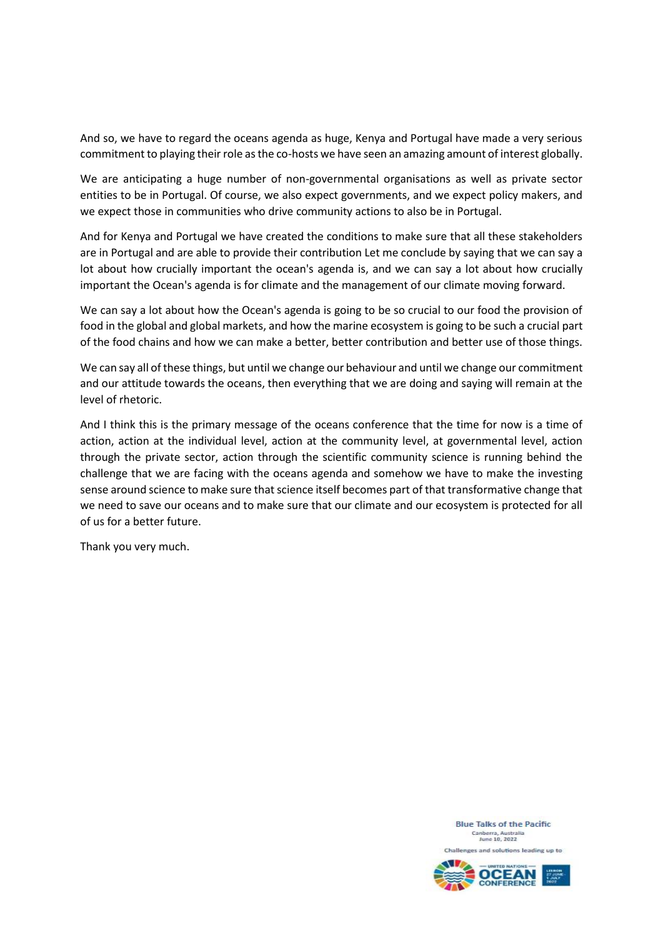And so, we have to regard the oceans agenda as huge, Kenya and Portugal have made a very serious commitment to playing their role as the co-hosts we have seen an amazing amount of interest globally.

We are anticipating a huge number of non-governmental organisations as well as private sector entities to be in Portugal. Of course, we also expect governments, and we expect policy makers, and we expect those in communities who drive community actions to also be in Portugal.

And for Kenya and Portugal we have created the conditions to make sure that all these stakeholders are in Portugal and are able to provide their contribution Let me conclude by saying that we can say a lot about how crucially important the ocean's agenda is, and we can say a lot about how crucially important the Ocean's agenda is for climate and the management of our climate moving forward.

We can say a lot about how the Ocean's agenda is going to be so crucial to our food the provision of food in the global and global markets, and how the marine ecosystem is going to be such a crucial part of the food chains and how we can make a better, better contribution and better use of those things.

We can say all of these things, but until we change our behaviour and until we change our commitment and our attitude towards the oceans, then everything that we are doing and saying will remain at the level of rhetoric.

And I think this is the primary message of the oceans conference that the time for now is a time of action, action at the individual level, action at the community level, at governmental level, action through the private sector, action through the scientific community science is running behind the challenge that we are facing with the oceans agenda and somehow we have to make the investing sense around science to make sure that science itself becomes part of that transformative change that we need to save our oceans and to make sure that our climate and our ecosystem is protected for all of us for a better future.

Thank you very much.